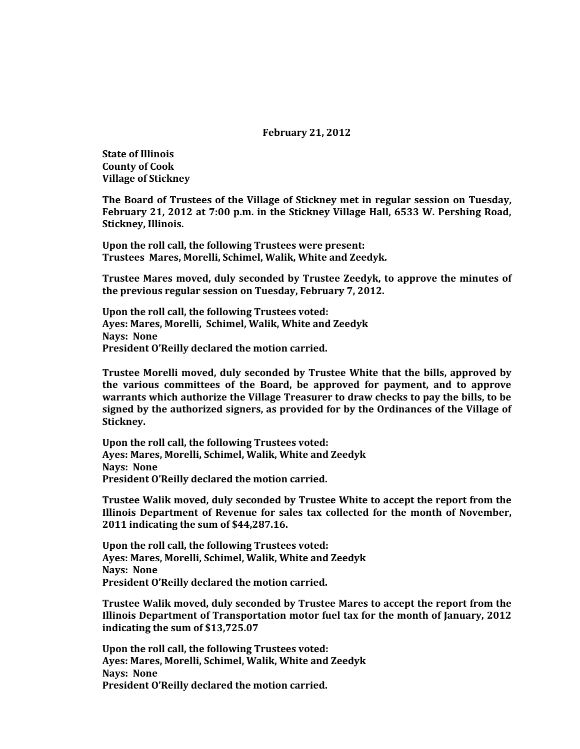### **February 21, 2012**

**State of Illinois County of Cook Village of Stickney**

**The Board of Trustees of the Village of Stickney met in regular session on Tuesday, February 21, 2012 at 7:00 p.m. in the Stickney Village Hall, 6533 W. Pershing Road, Stickney, Illinois.**

**Upon the roll call, the following Trustees were present: Trustees Mares, Morelli, Schimel, Walik, White and Zeedyk.** 

**Trustee Mares moved, duly seconded by Trustee Zeedyk, to approve the minutes of the previous regular session on Tuesday, February 7, 2012.**

**Upon the roll call, the following Trustees voted: Ayes: Mares, Morelli, Schimel, Walik, White and Zeedyk Nays: None President O'Reilly declared the motion carried.**

**Trustee Morelli moved, duly seconded by Trustee White that the bills, approved by the various committees of the Board, be approved for payment, and to approve warrants which authorize the Village Treasurer to draw checks to pay the bills, to be signed by the authorized signers, as provided for by the Ordinances of the Village of Stickney.**

**Upon the roll call, the following Trustees voted: Ayes: Mares, Morelli, Schimel, Walik, White and Zeedyk Nays: None President O'Reilly declared the motion carried.**

**Trustee Walik moved, duly seconded by Trustee White to accept the report from the Illinois Department of Revenue for sales tax collected for the month of November, 2011 indicating the sum of \$44,287.16.**

**Upon the roll call, the following Trustees voted: Ayes: Mares, Morelli, Schimel, Walik, White and Zeedyk Nays: None President O'Reilly declared the motion carried.**

**Trustee Walik moved, duly seconded by Trustee Mares to accept the report from the Illinois Department of Transportation motor fuel tax for the month of January, 2012 indicating the sum of \$13,725.07**

**Upon the roll call, the following Trustees voted: Ayes: Mares, Morelli, Schimel, Walik, White and Zeedyk Nays: None President O'Reilly declared the motion carried.**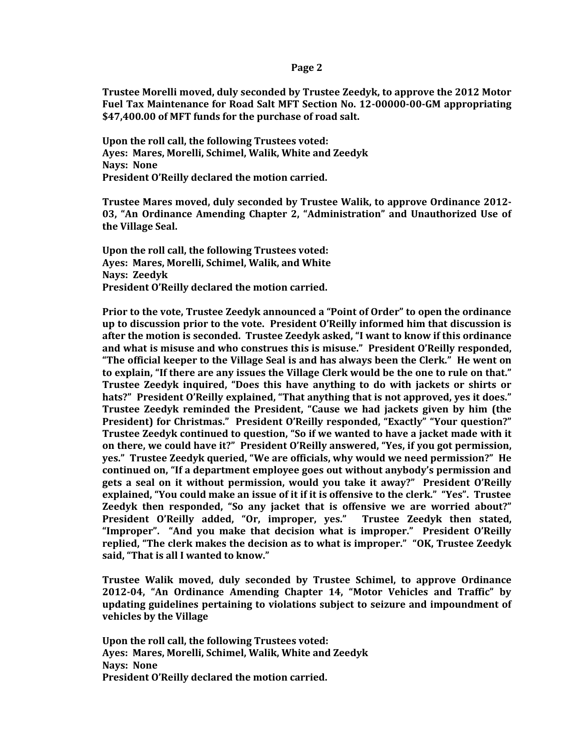#### **Page 2**

**Trustee Morelli moved, duly seconded by Trustee Zeedyk, to approve the 2012 Motor Fuel Tax Maintenance for Road Salt MFT Section No. 12-00000-00-GM appropriating \$47,400.00 of MFT funds for the purchase of road salt.**

**Upon the roll call, the following Trustees voted: Ayes: Mares, Morelli, Schimel, Walik, White and Zeedyk Nays: None President O'Reilly declared the motion carried.**

**Trustee Mares moved, duly seconded by Trustee Walik, to approve Ordinance 2012- 03, "An Ordinance Amending Chapter 2, "Administration" and Unauthorized Use of the Village Seal.**

**Upon the roll call, the following Trustees voted: Ayes: Mares, Morelli, Schimel, Walik, and White Nays: Zeedyk President O'Reilly declared the motion carried.**

**Prior to the vote, Trustee Zeedyk announced a "Point of Order" to open the ordinance up to discussion prior to the vote. President O'Reilly informed him that discussion is after the motion is seconded. Trustee Zeedyk asked, "I want to know if this ordinance and what is misuse and who construes this is misuse." President O'Reilly responded, "The official keeper to the Village Seal is and has always been the Clerk." He went on to explain, "If there are any issues the Village Clerk would be the one to rule on that." Trustee Zeedyk inquired, "Does this have anything to do with jackets or shirts or hats?" President O'Reilly explained, "That anything that is not approved, yes it does." Trustee Zeedyk reminded the President, "Cause we had jackets given by him (the President) for Christmas." President O'Reilly responded, "Exactly" "Your question?" Trustee Zeedyk continued to question, "So if we wanted to have a jacket made with it on there, we could have it?" President O'Reilly answered, "Yes, if you got permission, yes." Trustee Zeedyk queried, "We are officials, why would we need permission?" He continued on, "If a department employee goes out without anybody's permission and gets a seal on it without permission, would you take it away?" President O'Reilly explained, "You could make an issue of it if it is offensive to the clerk." "Yes". Trustee Zeedyk then responded, "So any jacket that is offensive we are worried about?" President O'Reilly added, "Or, improper, yes." Trustee Zeedyk then stated, "Improper". "And you make that decision what is improper." President O'Reilly replied, "The clerk makes the decision as to what is improper." "OK, Trustee Zeedyk said, "That is all I wanted to know."**

**Trustee Walik moved, duly seconded by Trustee Schimel, to approve Ordinance 2012-04, "An Ordinance Amending Chapter 14, "Motor Vehicles and Traffic" by updating guidelines pertaining to violations subject to seizure and impoundment of vehicles by the Village**

**Upon the roll call, the following Trustees voted: Ayes: Mares, Morelli, Schimel, Walik, White and Zeedyk Nays: None President O'Reilly declared the motion carried.**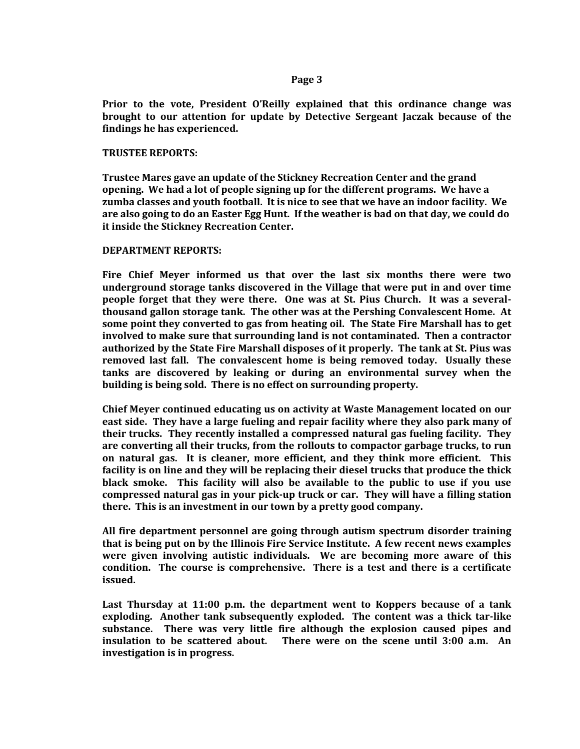### **Page 3**

**Prior to the vote, President O'Reilly explained that this ordinance change was brought to our attention for update by Detective Sergeant Jaczak because of the findings he has experienced.**

# **TRUSTEE REPORTS:**

**Trustee Mares gave an update of the Stickney Recreation Center and the grand opening. We had a lot of people signing up for the different programs. We have a zumba classes and youth football. It is nice to see that we have an indoor facility. We are also going to do an Easter Egg Hunt. If the weather is bad on that day, we could do it inside the Stickney Recreation Center.** 

## **DEPARTMENT REPORTS:**

**Fire Chief Meyer informed us that over the last six months there were two underground storage tanks discovered in the Village that were put in and over time people forget that they were there. One was at St. Pius Church. It was a severalthousand gallon storage tank. The other was at the Pershing Convalescent Home. At some point they converted to gas from heating oil. The State Fire Marshall has to get involved to make sure that surrounding land is not contaminated. Then a contractor authorized by the State Fire Marshall disposes of it properly. The tank at St. Pius was removed last fall. The convalescent home is being removed today. Usually these tanks are discovered by leaking or during an environmental survey when the building is being sold. There is no effect on surrounding property.** 

**Chief Meyer continued educating us on activity at Waste Management located on our east side. They have a large fueling and repair facility where they also park many of their trucks. They recently installed a compressed natural gas fueling facility. They are converting all their trucks, from the rollouts to compactor garbage trucks, to run on natural gas. It is cleaner, more efficient, and they think more efficient. This facility is on line and they will be replacing their diesel trucks that produce the thick black smoke. This facility will also be available to the public to use if you use compressed natural gas in your pick-up truck or car. They will have a filling station there. This is an investment in our town by a pretty good company.** 

**All fire department personnel are going through autism spectrum disorder training that is being put on by the Illinois Fire Service Institute. A few recent news examples were given involving autistic individuals. We are becoming more aware of this condition. The course is comprehensive. There is a test and there is a certificate issued.** 

**Last Thursday at 11:00 p.m. the department went to Koppers because of a tank exploding. Another tank subsequently exploded. The content was a thick tar-like substance. There was very little fire although the explosion caused pipes and insulation to be scattered about. There were on the scene until 3:00 a.m. An investigation is in progress.**